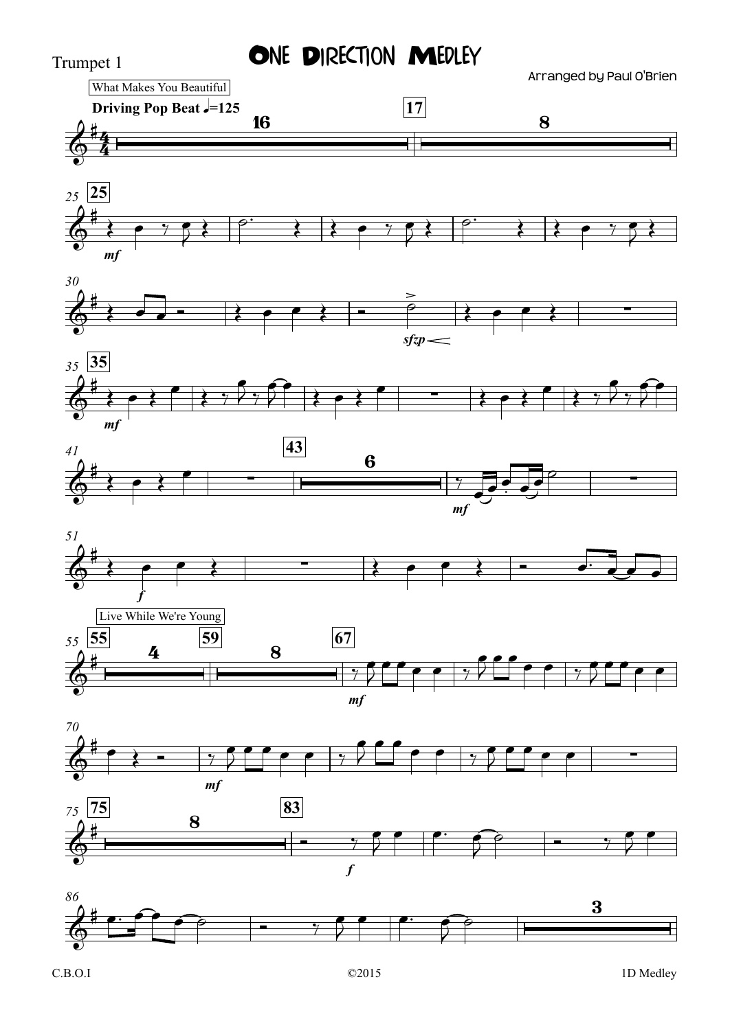